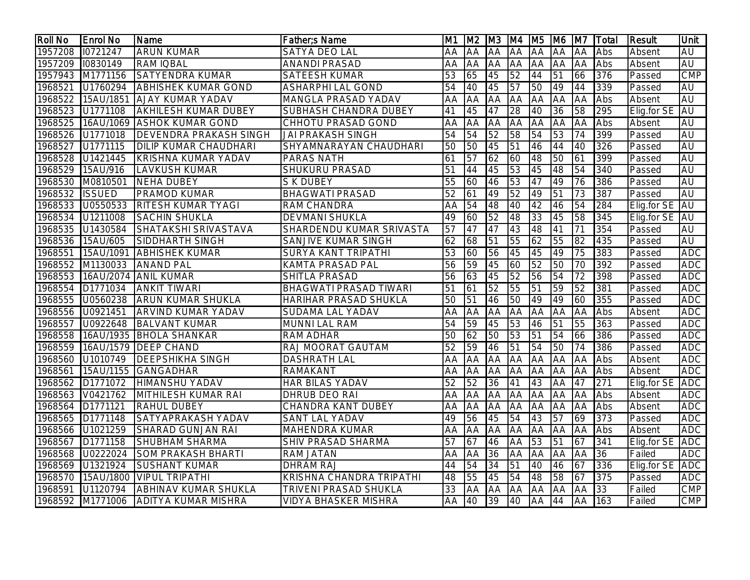| <b>Roll No</b> | <b>Enrol No</b>  | <b>Name</b>                   | Father; SName                 | <b>M1</b>       |           | M2  M3  M4  M5  |                 |                 | M <sub>6</sub>  | M7              | <b>Total</b> | <b>Result</b>    | Unit       |
|----------------|------------------|-------------------------------|-------------------------------|-----------------|-----------|-----------------|-----------------|-----------------|-----------------|-----------------|--------------|------------------|------------|
| 1957208        | 10721247         | <b>ARUN KUMAR</b>             | <b>SATYA DEO LAL</b>          | AA              | <b>AA</b> | <b>JAA</b>      | <b>JAA</b>      | <b>AA</b>       | <b>AA</b>       | <b>AA</b>       | Abs          | Absent           | AU         |
| 1957209        | 10830149         | <b>RAM IQBAL</b>              | <b>ANANDI PRASAD</b>          | AA              | <b>AA</b> | <b>AA</b>       | AA AA           |                 | <b>AA</b>       | <b>JAA</b>      | Abs          | Absent           | AU         |
| 1957943        | M1771156         | <b>SATYENDRA KUMAR</b>        | <b>SATEESH KUMAR</b>          | 53              | 65        | 45              | $\overline{52}$ | 44              | $\overline{51}$ | 66              | 376          | Passed           | <b>CMP</b> |
| 1968521        | U1760294         | <b>ABHISHEK KUMAR GOND</b>    | <b>ASHARPHI LAL GOND</b>      | 54              | 40        | 45              | $\overline{57}$ | 50              | 49              | 44              | 339          | Passed           | AU         |
| 1968522        | 15AU/1851        | <b>AJAY KUMAR YADAV</b>       | MANGLA PRASAD YADAV           | AA              | AA        | <b>AA</b>       | <b>JAA</b>      | <b>JAA</b>      | AA              | AA              | Abs          | Absent           | AU         |
| 1968523        | U1771108         | <b>AKHILESH KUMAR DUBEY</b>   | SUBHASH CHANDRA DUBEY         | 41              | 45        | 47              | 28              | 40              | $\overline{36}$ | 58              | 295          | Elig.for SE      | <b>AU</b>  |
| 1968525        | 16AU/1069        | <b>ASHOK KUMAR GOND</b>       | <b>CHHOTU PRASAD GOND</b>     | <b>AA</b>       | AA        | AA              | <b>AA</b>       | <b>AA</b>       | AA              | AA              | Abs          | Absent           | AU         |
| 1968526        | U1771018         | <b>DEVENDRA PRAKASH SINGH</b> | <b>JAI PRAKASH SINGH</b>      | 54              | 54        | 52              | $\overline{58}$ | 54              | 53              | 74              | 399          | Passed           | <b>AU</b>  |
| 1968527        | U1771115         | <b>DILIP KUMAR CHAUDHARI</b>  | SHYAMNARAYAN CHAUDHARI        | 50              | 50        | 45              | $\overline{51}$ | 46              | 44              | 40              | 326          | Passed           | <b>AU</b>  |
| 1968528        | U1421445         | KRISHNA KUMAR YADAV           | PARAS NATH                    | 61              | 57        | 62              | 60              | 48              | 50              | 61              | 399          | Passed           | AU         |
|                | 1968529 15AU/916 | <b>LAVKUSH KUMAR</b>          | SHUKURU PRASAD                | 51              | 44        | 45              | 53              | 45              | 48              | 54              | 340          | Passed           | AU         |
| 1968530        | M0810501         | <b>NEHA DUBEY</b>             | <b>S K DUBEY</b>              | 55              | 60        | 46              | $\overline{53}$ | 47              | 49              | 76              | 386          | Passed           | <b>AU</b>  |
| 1968532        | <b>ISSUED</b>    | <b>PRAMOD KUMAR</b>           | <b>BHAGWATI PRASAD</b>        | 52              | 61        | 49              | $\overline{52}$ | 49              | 51              | 73              | 387          | Passed           | <b>AU</b>  |
| 1968533        | U0550533         | <b>RITESH KUMAR TYAGI</b>     | <b>RAM CHANDRA</b>            | <b>AA</b>       | 54        | 48              | 40              | 42              | $\overline{46}$ | 54              | 284          | Elig.for SE      | <b>AU</b>  |
| 1968534        | U1211008         | <b>SACHIN SHUKLA</b>          | <b>DEVMANI SHUKLA</b>         | 49              | 60        | 52              | 48              | 33              | 45              | 58              | 345          | Elig.for SE   AU |            |
| 1968535        | U1430584         | SHATAKSHI SRIVASTAVA          | SHARDENDU KUMAR SRIVASTA      | 57              | 47        | 47              | 43              | 48              | 41              | 71              | 354          | Passed           | AU         |
| 1968536        | 15AU/605         | <b>SIDDHARTH SINGH</b>        | <b>SANJIVE KUMAR SINGH</b>    | 62              | 68        | $\overline{51}$ | 55              | 62              | 55              | 82              | 435          | Passed           | AU         |
| 1968551        | 15AU/1091        | <b>ABHISHEK KUMAR</b>         | <b>SURYA KANT TRIPATHI</b>    | 53              | 60        | 56              | 45              | 45              | 49              | 75              | 383          | Passed           | <b>ADC</b> |
|                | 1968552 M1130033 | <b>ANAND PAL</b>              | <b>KAMTA PRASAD PAL</b>       | 56              | 59        | 45              | 60              | 52              | 50              | 70              | 392          | Passed           | <b>ADC</b> |
| 1968553        |                  | 16AU/2074 ANIL KUMAR          | <b>SHITLA PRASAD</b>          | 56              | 63        | 45              | $\overline{52}$ | 56              | 54              | $\overline{72}$ | 398          | Passed           | <b>ADC</b> |
|                | 1968554 D1771034 | <b>ANKIT TIWARI</b>           | <b>BHAGWATI PRASAD TIWARI</b> | 51              | 61        | 52              | 55              | $\overline{51}$ | 59              | 52              | 381          | Passed           | <b>ADC</b> |
| 1968555        | U0560238         | <b>ARUN KUMAR SHUKLA</b>      | <b>HARIHAR PRASAD SHUKLA</b>  | $\overline{50}$ | 51        | 46              | 50              | 49              | 49              | 60              | 355          | Passed           | <b>ADC</b> |
|                | 1968556 U0921451 | <b>ARVIND KUMAR YADAV</b>     | SUDAMA LAL YADAV              | AA              | AA        | <b>AA</b>       | <b>JAA</b>      | <b>AA</b>       | <b>AA</b>       | AA              | Abs          | Absent           | ADC        |
| 1968557        | U0922648         | <b>BALVANT KUMAR</b>          | <b>MUNNI LAL RAM</b>          | 54              | 59        | 45              | 53              | 46              | $\overline{51}$ | 55              | 363          | Passed           | <b>ADC</b> |
| 1968558        | 16AU/1935        | <b>BHOLA SHANKAR</b>          | <b>RAM ADHAR</b>              | 50              | 62        | 50              | 53              | 51              | 54              | 66              | 386          | Passed           | <b>ADC</b> |
| 1968559        |                  | 16AU/1579   DEEP CHAND        | RAJ MOORAT GAUTAM             | 52              | 59        | 46              | $\overline{51}$ | 54              | 50              | 74              | 386          | Passed           | ADC        |
| 1968560        | U1010749         | <b>DEEPSHIKHA SINGH</b>       | <b>DASHRATH LAL</b>           | AA              | <b>AA</b> | <b>AA</b>       | <b>AA</b>       | <b>AA</b>       | <b>AA</b>       | AA              | Abs          | Absent           | <b>ADC</b> |
| 1968561        | 15AU/1155        | <b>GANGADHAR</b>              | <b>RAMAKANT</b>               | AA              | AA        | <b>AA</b>       | <b>AA</b>       | <b>AA</b>       | <b>AA</b>       | AA              | Abs          | Absent           | <b>ADC</b> |
| 1968562        | D1771072         | HIMANSHU YADAV                | HAR BILAS YADAV               | 52              | 52        | 36              | 41              | 43              | AA              | 47              | 271          | Elig.for SE      | ADC        |
| 1968563        | V0421762         | MITHILESH KUMAR RAI           | DHRUB DEO RAI                 | AA              | AA        | <b>AA</b>       | <b>JAA</b>      | <b>AA</b>       | AA              | AA              | Abs          | Absent           | <b>ADC</b> |
| 1968564        | D1771121         | <b>RAHUL DUBEY</b>            | <b>CHANDRA KANT DUBEY</b>     | AA              | AA        | <b>AA</b>       | <b>AA</b>       | <b>AA</b>       | AA              | AA              | Abs          | Absent           | <b>ADC</b> |
| 1968565        | D1771148         | SATYAPRAKASH YADAV            | <b>SANT LAL YADAV</b>         | 49              | 56        | 45              | 54              | 43              | 57              | 69              | 373          | Passed           | <b>ADC</b> |
| 1968566        | U1021259         | <b>SHARAD GUNJAN RAI</b>      | <b>MAHENDRA KUMAR</b>         | AA              | <b>AA</b> | <b>AA</b>       | <b>AA</b>       | <b>JAA</b>      | <b>AA</b>       | <b>AA</b>       | Abs          | Absent           | <b>ADC</b> |
| 1968567        | D1771158         | <b>SHUBHAM SHARMA</b>         | <b>SHIV PRASAD SHARMA</b>     | 57              | 67        | 46              | <b>AA</b>       | $\overline{53}$ | 51              | 67              | 341          | Elig.for SE ADC  |            |
| 1968568        | U0222024         | <b>SOM PRAKASH BHARTI</b>     | <b>RAM JATAN</b>              | <b>AA</b>       | AA        | 36              | <b>AA</b>       | <b>AA</b>       | <b>AA</b>       | AA              | 36           | Failed           | <b>ADC</b> |
| 1968569        | U1321924         | <b>SUSHANT KUMAR</b>          | <b>DHRAM RAJ</b>              | 44              | 54        | 34              | 51              | 40              | 46              | 67              | 336          | Elig.for SE      | <b>ADC</b> |
| 1968570        | 15AU/1800        | <b>VIPUL TRIPATHI</b>         | KRISHNA CHANDRA TRIPATHI      | 48              | 55        | 45              | 54              | 48              | 58              | 67              | 375          | Passed           | <b>ADC</b> |
| 1968591        | U1120794         | <b>ABHINAV KUMAR SHUKLA</b>   | <b>TRIVENI PRASAD SHUKLA</b>  | 33              | <b>AA</b> | <b>AA</b>       | <b>AA</b>       | <b>AA</b>       | <b>AA</b>       | IAA             | 33           | Failed           | <b>CMP</b> |
|                | 1968592 M1771006 | <b>ADITYA KUMAR MISHRA</b>    | <b>VIDYA BHASKER MISHRA</b>   | AA              | 40        | 39              | 40              | AA              | 44              | AA              | 163          | Failed           | CMP        |